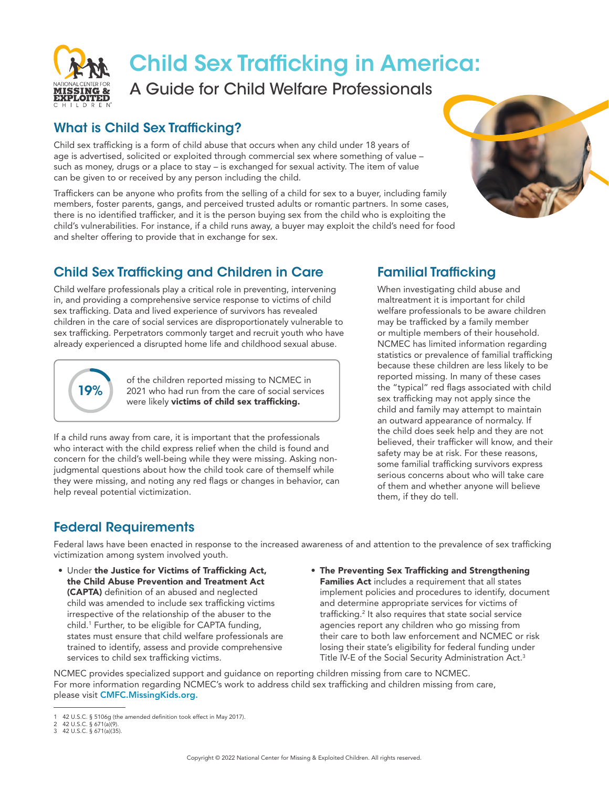

# Child Sex Trafficking in America:

A Guide for Child Welfare Professionals

#### What is Child Sex Trafficking?

Child sex trafficking is a form of child abuse that occurs when any child under 18 years of age is advertised, solicited or exploited through commercial sex where something of value – such as money, drugs or a place to stay – is exchanged for sexual activity. The item of value can be given to or received by any person including the child.

Traffickers can be anyone who profits from the selling of a child for sex to a buyer, including family members, foster parents, gangs, and perceived trusted adults or romantic partners. In some cases, there is no identified trafficker, and it is the person buying sex from the child who is exploiting the child's vulnerabilities. For instance, if a child runs away, a buyer may exploit the child's need for food and shelter offering to provide that in exchange for sex.

## Child Sex Trafficking and Children in Care

Child welfare professionals play a critical role in preventing, intervening in, and providing a comprehensive service response to victims of child sex trafficking. Data and lived experience of survivors has revealed children in the care of social services are disproportionately vulnerable to sex trafficking. Perpetrators commonly target and recruit youth who have already experienced a disrupted home life and childhood sexual abuse.



of the children reported missing to NCMEC in 2021 who had run from the care of social services were likely **victims of child sex trafficking.** 

If a child runs away from care, it is important that the professionals who interact with the child express relief when the child is found and concern for the child's well-being while they were missing. Asking nonjudgmental questions about how the child took care of themself while they were missing, and noting any red flags or changes in behavior, can help reveal potential victimization.

## Familial Trafficking

When investigating child abuse and maltreatment it is important for child welfare professionals to be aware children may be trafficked by a family member or multiple members of their household. NCMEC has limited information regarding statistics or prevalence of familial trafficking because these children are less likely to be reported missing. In many of these cases the "typical" red flags associated with child sex trafficking may not apply since the child and family may attempt to maintain an outward appearance of normalcy. If the child does seek help and they are not believed, their trafficker will know, and their safety may be at risk. For these reasons, some familial trafficking survivors express serious concerns about who will take care of them and whether anyone will believe them, if they do tell.

#### Federal Requirements

Federal laws have been enacted in response to the increased awareness of and attention to the prevalence of sex trafficking victimization among system involved youth.

- Under the Justice for Victims of Trafficking Act, the Child Abuse Prevention and Treatment Act (CAPTA) definition of an abused and neglected child was amended to include sex trafficking victims irrespective of the relationship of the abuser to the child.1 Further, to be eligible for CAPTA funding, states must ensure that child welfare professionals are trained to identify, assess and provide comprehensive services to child sex trafficking victims.
- The Preventing Sex Trafficking and Strengthening Families Act includes a requirement that all states implement policies and procedures to identify, document and determine appropriate services for victims of trafficking.2 It also requires that state social service agencies report any children who go missing from their care to both law enforcement and NCMEC or risk losing their state's eligibility for federal funding under Title IV-E of the Social Security Administration Act.3

NCMEC provides specialized support and guidance on reporting children missing from care to NCMEC. For more information regarding NCMEC's work to address child sex trafficking and children missing from care, please visit CMFC.MissingKids.org.



<sup>1</sup> 42 U.S.C. § 5106g (the amended definition took effect in May 2017). 2 42 U.S.C. § 671(a)(9).

<sup>3</sup> 42 U.S.C. § 671(a)(35).